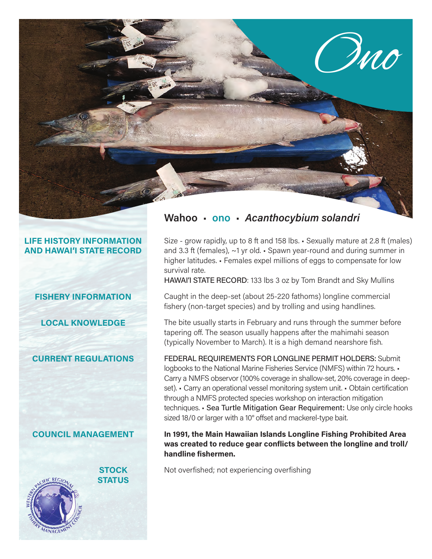

#### **LIFE HISTORY INFORMATION AND HAWAI'I STATE RECORD**

#### **FISHERY INFORMATION**

**LOCAL KNOWLEDGE**

#### **CURRENT REGULATIONS**

**COUNCIL MANAGEMENT**



**STOCK STATUS**

## **Wahoo** • **ono** • *Acanthocybium solandri*

Size - grow rapidly, up to 8 ft and 158 lbs. • Sexually mature at 2.8 ft (males) and 3.3 ft (females), ~1 yr old. • Spawn year-round and during summer in higher latitudes. • Females expel millions of eggs to compensate for low survival rate.

HAWAI'I STATE RECORD: 133 lbs 3 oz by Tom Brandt and Sky Mullins

Caught in the deep-set (about 25-220 fathoms) longline commercial fishery (non-target species) and by trolling and using handlines.

The bite usually starts in February and runs through the summer before tapering off. The season usually happens after the mahimahi season (typically November to March). It is a high demand nearshore fish.

FEDERAL REQUIREMENTS FOR LONGLINE PERMIT HOLDERS: Submit logbooks to the National Marine Fisheries Service (NMFS) within 72 hours. • Carry a NMFS observor (100% coverage in shallow-set, 20% coverage in deepset). • Carry an operational vessel monitoring system unit. • Obtain certification through a NMFS protected species workshop on interaction mitigation techniques. • Sea Turtle Mitigation Gear Requirement: Use only circle hooks sized 18/0 or larger with a 10° offset and mackerel-type bait.

#### **In 1991, the Main Hawaiian Islands Longline Fishing Prohibited Area was created to reduce gear conflicts between the longline and troll/ handline fishermen.**

Not overfished; not experiencing overfishing